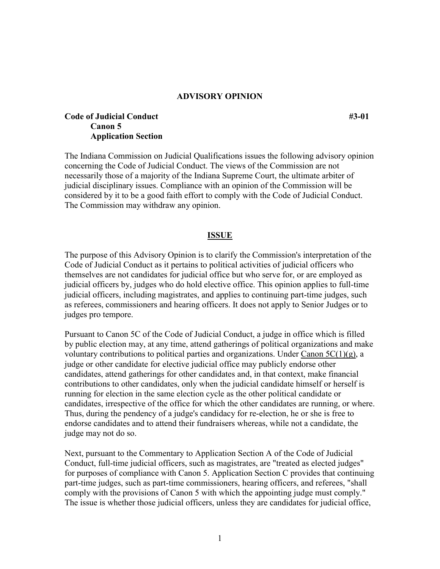## **ADVISORY OPINION**

## **Code of Judicial Conduct** #3-01 **#3-01 Canon 5 Application Section**

The Indiana Commission on Judicial Qualifications issues the following advisory opinion concerning the Code of Judicial Conduct. The views of the Commission are not necessarily those of a majority of the Indiana Supreme Court, the ultimate arbiter of judicial disciplinary issues. Compliance with an opinion of the Commission will be considered by it to be a good faith effort to comply with the Code of Judicial Conduct. The Commission may withdraw any opinion.

## **ISSUE**

The purpose of this Advisory Opinion is to clarify the Commission's interpretation of the Code of Judicial Conduct as it pertains to political activities of judicial officers who themselves are not candidates for judicial office but who serve for, or are employed as judicial officers by, judges who do hold elective office. This opinion applies to full-time judicial officers, including magistrates, and applies to continuing part-time judges, such as referees, commissioners and hearing officers. It does not apply to Senior Judges or to judges pro tempore.

Pursuant to Canon 5C of the Code of Judicial Conduct, a judge in office which is filled by public election may, at any time, attend gatherings of political organizations and make voluntary contributions to political parties and organizations. Under Canon  $5C(1)(g)$ , a judge or other candidate for elective judicial office may publicly endorse other candidates, attend gatherings for other candidates and, in that context, make financial contributions to other candidates, only when the judicial candidate himself or herself is running for election in the same election cycle as the other political candidate or candidates, irrespective of the office for which the other candidates are running, or where. Thus, during the pendency of a judge's candidacy for re-election, he or she is free to endorse candidates and to attend their fundraisers whereas, while not a candidate, the judge may not do so.

Next, pursuant to the Commentary to Application Section A of the Code of Judicial Conduct, full-time judicial officers, such as magistrates, are "treated as elected judges" for purposes of compliance with Canon 5. Application Section C provides that continuing part-time judges, such as part-time commissioners, hearing officers, and referees, "shall comply with the provisions of Canon 5 with which the appointing judge must comply." The issue is whether those judicial officers, unless they are candidates for judicial office,